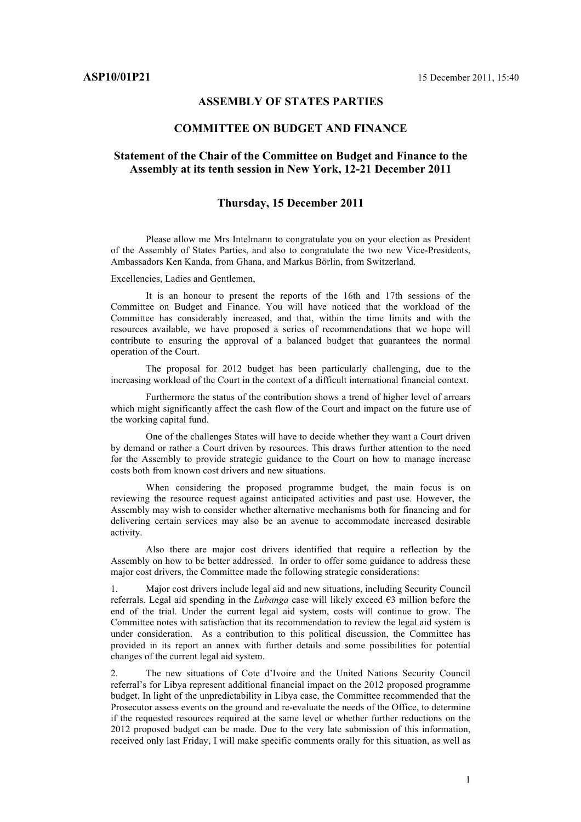## **ASSEMBLY OF STATES PARTIES**

### **COMMITTEE ON BUDGET AND FINANCE**

# **Statement of the Chair of the Committee on Budget and Finance to the Assembly at its tenth session in New York, 12-21 December 2011**

### **Thursday, 15 December 2011**

Please allow me Mrs Intelmann to congratulate you on your election as President of the Assembly of States Parties, and also to congratulate the two new Vice-Presidents, Ambassadors Ken Kanda, from Ghana, and Markus Börlin, from Switzerland.

Excellencies, Ladies and Gentlemen,

It is an honour to present the reports of the 16th and 17th sessions of the Committee on Budget and Finance. You will have noticed that the workload of the Committee has considerably increased, and that, within the time limits and with the resources available, we have proposed a series of recommendations that we hope will contribute to ensuring the approval of a balanced budget that guarantees the normal operation of the Court.

The proposal for 2012 budget has been particularly challenging, due to the increasing workload of the Court in the context of a difficult international financial context.

Furthermore the status of the contribution shows a trend of higher level of arrears which might significantly affect the cash flow of the Court and impact on the future use of the working capital fund.

One of the challenges States will have to decide whether they want a Court driven by demand or rather a Court driven by resources. This draws further attention to the need for the Assembly to provide strategic guidance to the Court on how to manage increase costs both from known cost drivers and new situations.

When considering the proposed programme budget, the main focus is on reviewing the resource request against anticipated activities and past use. However, the Assembly may wish to consider whether alternative mechanisms both for financing and for delivering certain services may also be an avenue to accommodate increased desirable activity.

Also there are major cost drivers identified that require a reflection by the Assembly on how to be better addressed. In order to offer some guidance to address these major cost drivers, the Committee made the following strategic considerations:

1. Major cost drivers include legal aid and new situations, including Security Council referrals. Legal aid spending in the *Lubanga* case will likely exceed €3 million before the end of the trial. Under the current legal aid system, costs will continue to grow. The Committee notes with satisfaction that its recommendation to review the legal aid system is under consideration. As a contribution to this political discussion, the Committee has provided in its report an annex with further details and some possibilities for potential changes of the current legal aid system.

2. The new situations of Cote d'Ivoire and the United Nations Security Council referral's for Libya represent additional financial impact on the 2012 proposed programme budget. In light of the unpredictability in Libya case, the Committee recommended that the Prosecutor assess events on the ground and re-evaluate the needs of the Office, to determine if the requested resources required at the same level or whether further reductions on the 2012 proposed budget can be made. Due to the very late submission of this information, received only last Friday, I will make specific comments orally for this situation, as well as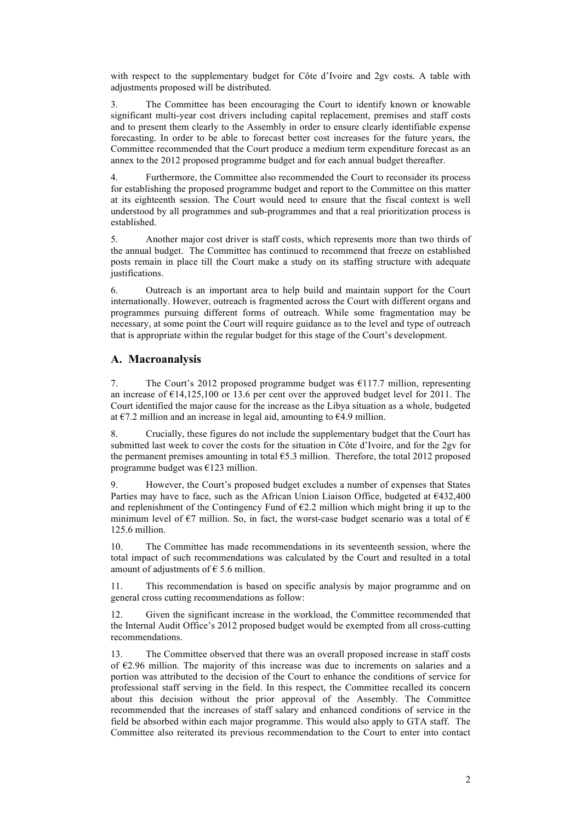with respect to the supplementary budget for Côte d'Ivoire and 2gv costs. A table with adjustments proposed will be distributed.

3. The Committee has been encouraging the Court to identify known or knowable significant multi-year cost drivers including capital replacement, premises and staff costs and to present them clearly to the Assembly in order to ensure clearly identifiable expense forecasting. In order to be able to forecast better cost increases for the future years, the Committee recommended that the Court produce a medium term expenditure forecast as an annex to the 2012 proposed programme budget and for each annual budget thereafter.

4. Furthermore, the Committee also recommended the Court to reconsider its process for establishing the proposed programme budget and report to the Committee on this matter at its eighteenth session. The Court would need to ensure that the fiscal context is well understood by all programmes and sub-programmes and that a real prioritization process is established.

5. Another major cost driver is staff costs, which represents more than two thirds of the annual budget. The Committee has continued to recommend that freeze on established posts remain in place till the Court make a study on its staffing structure with adequate justifications.

6. Outreach is an important area to help build and maintain support for the Court internationally. However, outreach is fragmented across the Court with different organs and programmes pursuing different forms of outreach. While some fragmentation may be necessary, at some point the Court will require guidance as to the level and type of outreach that is appropriate within the regular budget for this stage of the Court's development.

## **A. Macroanalysis**

7. The Court's 2012 proposed programme budget was €117.7 million, representing an increase of  $\epsilon$ 14,125,100 or 13.6 per cent over the approved budget level for 2011. The Court identified the major cause for the increase as the Libya situation as a whole, budgeted at  $\epsilon$ 7.2 million and an increase in legal aid, amounting to  $\epsilon$ 4.9 million.

8. Crucially, these figures do not include the supplementary budget that the Court has submitted last week to cover the costs for the situation in Côte d'Ivoire, and for the 2gv for the permanent premises amounting in total  $65.3$  million. Therefore, the total 2012 proposed programme budget was €123 million.

9. However, the Court's proposed budget excludes a number of expenses that States Parties may have to face, such as the African Union Liaison Office, budgeted at €432,400 and replenishment of the Contingency Fund of  $E$ 2.2 million which might bring it up to the minimum level of  $\epsilon$ 7 million. So, in fact, the worst-case budget scenario was a total of  $\epsilon$ 125.6 million.

10. The Committee has made recommendations in its seventeenth session, where the total impact of such recommendations was calculated by the Court and resulted in a total amount of adjustments of  $\epsilon$  5.6 million.

11. This recommendation is based on specific analysis by major programme and on general cross cutting recommendations as follow:

12. Given the significant increase in the workload, the Committee recommended that the Internal Audit Office's 2012 proposed budget would be exempted from all cross-cutting recommendations.

13. The Committee observed that there was an overall proposed increase in staff costs of  $E2.96$  million. The majority of this increase was due to increments on salaries and a portion was attributed to the decision of the Court to enhance the conditions of service for professional staff serving in the field. In this respect, the Committee recalled its concern about this decision without the prior approval of the Assembly. The Committee recommended that the increases of staff salary and enhanced conditions of service in the field be absorbed within each major programme. This would also apply to GTA staff. The Committee also reiterated its previous recommendation to the Court to enter into contact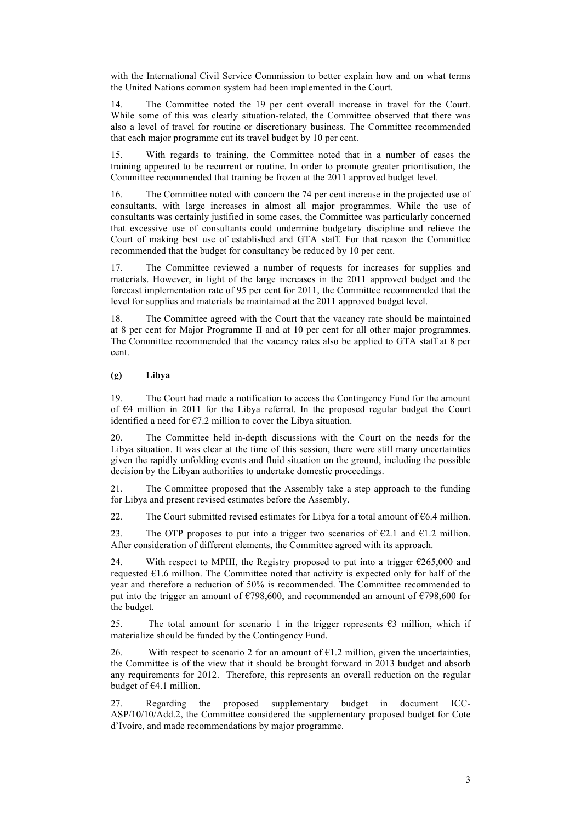with the International Civil Service Commission to better explain how and on what terms the United Nations common system had been implemented in the Court.

14. The Committee noted the 19 per cent overall increase in travel for the Court. While some of this was clearly situation-related, the Committee observed that there was also a level of travel for routine or discretionary business. The Committee recommended that each major programme cut its travel budget by 10 per cent.

15. With regards to training, the Committee noted that in a number of cases the training appeared to be recurrent or routine. In order to promote greater prioritisation, the Committee recommended that training be frozen at the 2011 approved budget level.

16. The Committee noted with concern the 74 per cent increase in the projected use of consultants, with large increases in almost all major programmes. While the use of consultants was certainly justified in some cases, the Committee was particularly concerned that excessive use of consultants could undermine budgetary discipline and relieve the Court of making best use of established and GTA staff. For that reason the Committee recommended that the budget for consultancy be reduced by 10 per cent.

17. The Committee reviewed a number of requests for increases for supplies and materials. However, in light of the large increases in the 2011 approved budget and the forecast implementation rate of 95 per cent for 2011, the Committee recommended that the level for supplies and materials be maintained at the 2011 approved budget level.

18. The Committee agreed with the Court that the vacancy rate should be maintained at 8 per cent for Major Programme II and at 10 per cent for all other major programmes. The Committee recommended that the vacancy rates also be applied to GTA staff at 8 per cent.

#### **(g) Libya**

19. The Court had made a notification to access the Contingency Fund for the amount of €4 million in 2011 for the Libya referral. In the proposed regular budget the Court identified a need for  $\epsilon$ 7.2 million to cover the Libya situation.

20. The Committee held in-depth discussions with the Court on the needs for the Libya situation. It was clear at the time of this session, there were still many uncertainties given the rapidly unfolding events and fluid situation on the ground, including the possible decision by the Libyan authorities to undertake domestic proceedings.

21. The Committee proposed that the Assembly take a step approach to the funding for Libya and present revised estimates before the Assembly.

22. The Court submitted revised estimates for Libya for a total amount of  $\epsilon$ 6.4 million.

23. The OTP proposes to put into a trigger two scenarios of  $E$ 2.1 and  $E$ 1.2 million. After consideration of different elements, the Committee agreed with its approach.

24. With respect to MPIII, the Registry proposed to put into a trigger  $\epsilon$ 265,000 and requested  $E1.6$  million. The Committee noted that activity is expected only for half of the year and therefore a reduction of 50% is recommended. The Committee recommended to put into the trigger an amount of  $\epsilon$ 798,600, and recommended an amount of  $\epsilon$ 798,600 for the budget.

25. The total amount for scenario 1 in the trigger represents  $\epsilon$ 3 million, which if materialize should be funded by the Contingency Fund.

26. With respect to scenario 2 for an amount of  $E1.2$  million, given the uncertainties, the Committee is of the view that it should be brought forward in 2013 budget and absorb any requirements for 2012. Therefore, this represents an overall reduction on the regular budget of  $€4.1$  million.

27. Regarding the proposed supplementary budget in document ICC-ASP/10/10/Add.2, the Committee considered the supplementary proposed budget for Cote d'Ivoire, and made recommendations by major programme.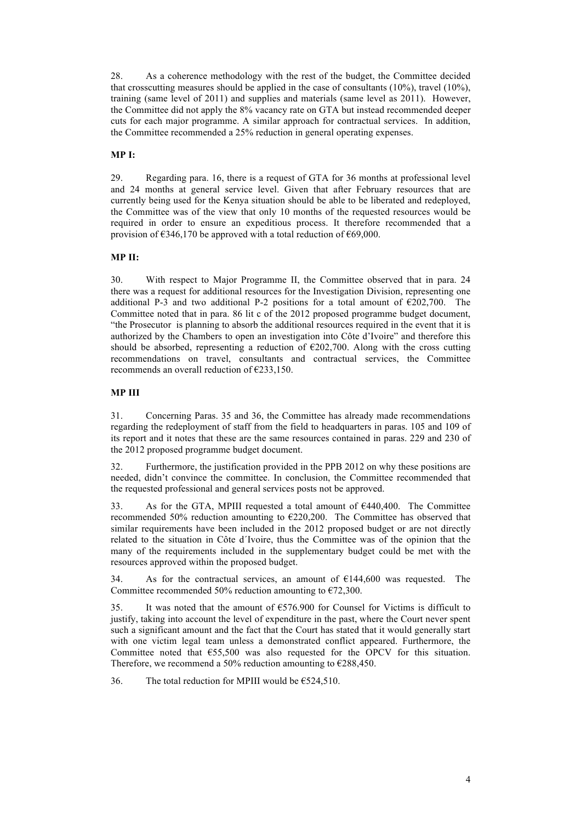28. As a coherence methodology with the rest of the budget, the Committee decided that crosscutting measures should be applied in the case of consultants  $(10\%)$ , travel  $(10\%)$ , training (same level of 2011) and supplies and materials (same level as 2011). However, the Committee did not apply the 8% vacancy rate on GTA but instead recommended deeper cuts for each major programme. A similar approach for contractual services. In addition, the Committee recommended a 25% reduction in general operating expenses.

### **MP I:**

29. Regarding para. 16, there is a request of GTA for 36 months at professional level and 24 months at general service level. Given that after February resources that are currently being used for the Kenya situation should be able to be liberated and redeployed, the Committee was of the view that only 10 months of the requested resources would be required in order to ensure an expeditious process. It therefore recommended that a provision of  $\epsilon$ 346,170 be approved with a total reduction of  $\epsilon$ 69,000.

#### **MP II:**

30. With respect to Major Programme II, the Committee observed that in para. 24 there was a request for additional resources for the Investigation Division, representing one additional P-3 and two additional P-2 positions for a total amount of  $\epsilon$ 202,700. The Committee noted that in para. 86 lit c of the 2012 proposed programme budget document, "the Prosecutor is planning to absorb the additional resources required in the event that it is authorized by the Chambers to open an investigation into Côte d'Ivoire" and therefore this should be absorbed, representing a reduction of  $E202,700$ . Along with the cross cutting recommendations on travel, consultants and contractual services, the Committee recommends an overall reduction of €233,150.

## **MP III**

31. Concerning Paras. 35 and 36, the Committee has already made recommendations regarding the redeployment of staff from the field to headquarters in paras. 105 and 109 of its report and it notes that these are the same resources contained in paras. 229 and 230 of the 2012 proposed programme budget document.

32. Furthermore, the justification provided in the PPB 2012 on why these positions are needed, didn't convince the committee. In conclusion, the Committee recommended that the requested professional and general services posts not be approved.

33. As for the GTA, MPIII requested a total amount of  $6440,400$ . The Committee recommended 50% reduction amounting to €220,200. The Committee has observed that similar requirements have been included in the 2012 proposed budget or are not directly related to the situation in Côte d´Ivoire, thus the Committee was of the opinion that the many of the requirements included in the supplementary budget could be met with the resources approved within the proposed budget.

34. As for the contractual services, an amount of €144,600 was requested. The Committee recommended 50% reduction amounting to  $\epsilon$ 72,300.

35. It was noted that the amount of €576.900 for Counsel for Victims is difficult to justify, taking into account the level of expenditure in the past, where the Court never spent such a significant amount and the fact that the Court has stated that it would generally start with one victim legal team unless a demonstrated conflict appeared. Furthermore, the Committee noted that  $E$ 55,500 was also requested for the OPCV for this situation. Therefore, we recommend a 50% reduction amounting to  $\epsilon$ 288,450.

36. The total reduction for MPIII would be  $\epsilon$ 524,510.